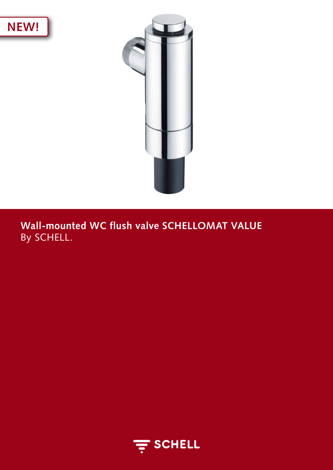



**Wall-mounted WC flush valve SCHELLOMAT VALUE**  By SCHELL.